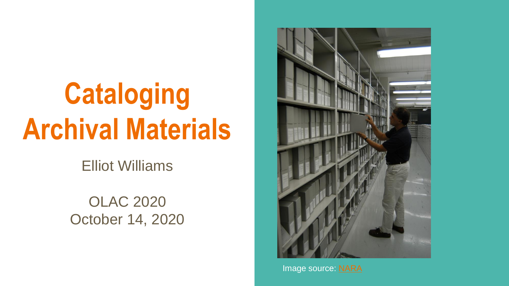# **Cataloging Archival Materials**

Elliot Williams

OLAC 2020 October 14, 2020



Image source: [NARA](https://dp.la/item/6952e3e90fa2eadc92841cf83ed1b090)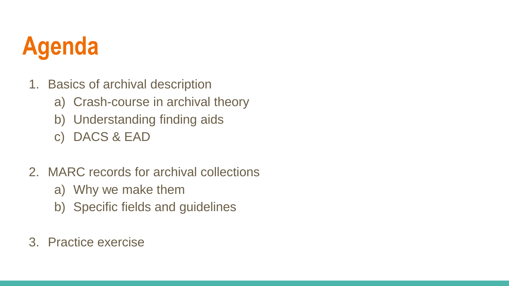#### **Agenda**

- 1. Basics of archival description
	- a) Crash-course in archival theory
	- b) Understanding finding aids
	- c) DACS & EAD
- 2. MARC records for archival collections
	- a) Why we make them
	- b) Specific fields and guidelines
- 3. Practice exercise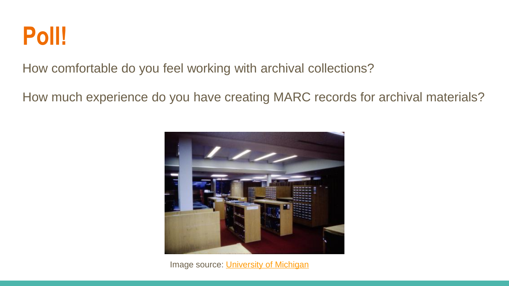

How comfortable do you feel working with archival collections?

How much experience do you have creating MARC records for archival materials?



Image source: [University of Michigan](https://dp.la/item/836916fb1d2a510ce7d9508e64be2289)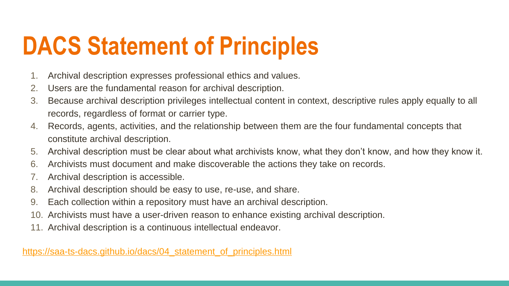#### **DACS Statement of Principles**

- 1. Archival description expresses professional ethics and values.
- 2. Users are the fundamental reason for archival description.
- 3. Because archival description privileges intellectual content in context, descriptive rules apply equally to all records, regardless of format or carrier type.
- 4. Records, agents, activities, and the relationship between them are the four fundamental concepts that constitute archival description.
- 5. Archival description must be clear about what archivists know, what they don't know, and how they know it.
- 6. Archivists must document and make discoverable the actions they take on records.
- 7. Archival description is accessible.
- 8. Archival description should be easy to use, re-use, and share.
- 9. Each collection within a repository must have an archival description.
- 10. Archivists must have a user-driven reason to enhance existing archival description.
- 11. Archival description is a continuous intellectual endeavor.

[https://saa-ts-dacs.github.io/dacs/04\\_statement\\_of\\_principles.html](https://saa-ts-dacs.github.io/dacs/04_statement_of_principles.html)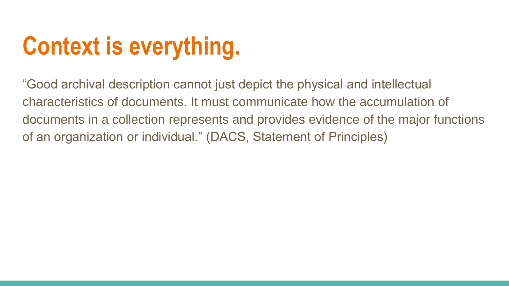## **Context is everything.**

"Good archival description cannot just depict the physical and intellectual characteristics of documents. It must communicate how the accumulation of documents in a collection represents and provides evidence of the major functions of an organization or individual." (DACS, Statement of Principles)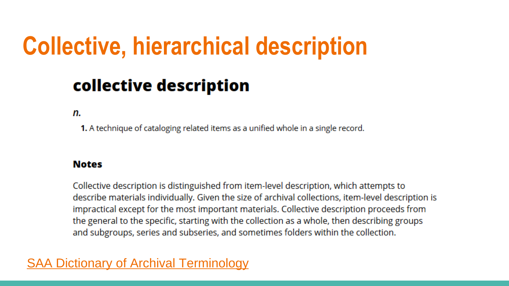#### **Collective, hierarchical description**

#### collective description

n.

1. A technique of cataloging related items as a unified whole in a single record.

#### **Notes**

Collective description is distinguished from item-level description, which attempts to describe materials individually. Given the size of archival collections, item-level description is impractical except for the most important materials. Collective description proceeds from the general to the specific, starting with the collection as a whole, then describing groups and subgroups, series and subseries, and sometimes folders within the collection.

#### [SAA Dictionary of Archival Terminology](https://dictionary.archivists.org/entry/collective-description.html)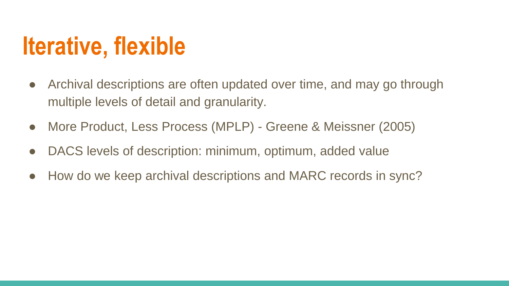#### **Iterative, flexible**

- Archival descriptions are often updated over time, and may go through multiple levels of detail and granularity.
- More Product, Less Process (MPLP) Greene & Meissner (2005)
- DACS levels of description: minimum, optimum, added value
- How do we keep archival descriptions and MARC records in sync?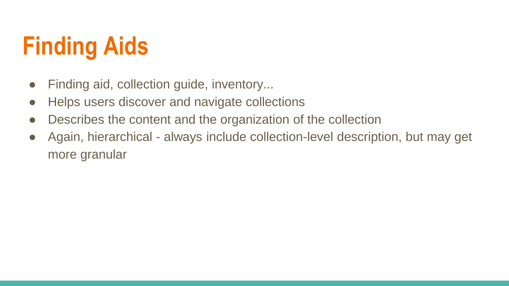#### **Finding Aids**

- Finding aid, collection guide, inventory...
- Helps users discover and navigate collections
- Describes the content and the organization of the collection
- Again, hierarchical always include collection-level description, but may get more granular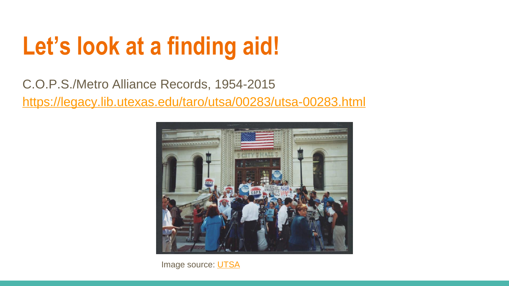#### **Let's look at a finding aid!**

C.O.P.S./Metro Alliance Records, 1954-2015 <https://legacy.lib.utexas.edu/taro/utsa/00283/utsa-00283.html>



Image source: **UTSA**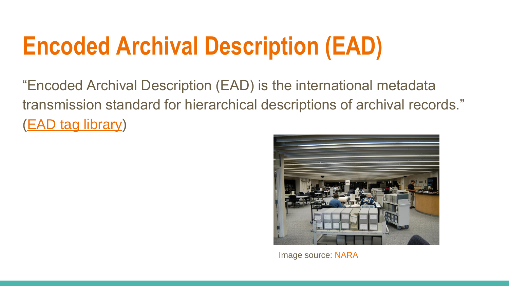#### **Encoded Archival Description (EAD)**

"Encoded Archival Description (EAD) is the international metadata transmission standard for hierarchical descriptions of archival records." [\(EAD tag library](https://www.loc.gov/ead/EAD3taglib/index.html#appendix-MARC21toEAD3))



Image source: [NARA](https://dp.la/item/d791ff6a726078a53f2af92859315083)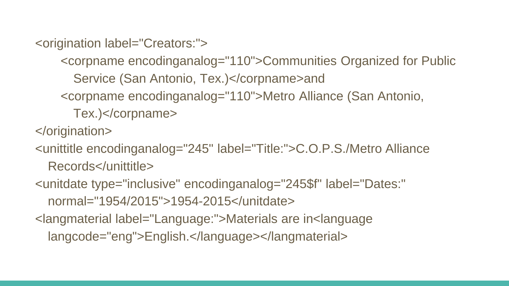<origination label="Creators:">

<corpname encodinganalog="110">Communities Organized for Public

Service (San Antonio, Tex.)</corpname>and

<corpname encodinganalog="110">Metro Alliance (San Antonio,

Tex.)</corpname>

</origination>

<unittitle encodinganalog="245" label="Title:">C.O.P.S./Metro Alliance

Records</unittitle>

<unitdate type="inclusive" encodinganalog="245\$f" label="Dates:" normal="1954/2015">1954-2015</unitdate>

<langmaterial label="Language:">Materials are in<language

langcode="eng">English.</language></langmaterial>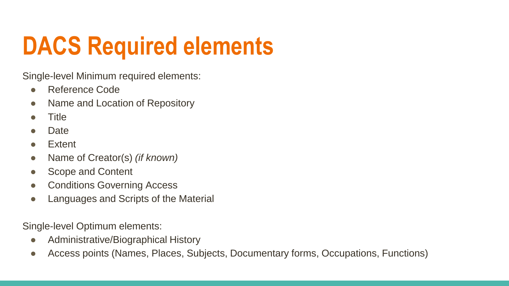#### **DACS Required elements**

Single-level Minimum required elements:

- Reference Code
- Name and Location of Repository
- Title
- **Date**
- **Extent**
- Name of Creator(s) *(if known)*
- Scope and Content
- Conditions Governing Access
- Languages and Scripts of the Material

Single-level Optimum elements:

- Administrative/Biographical History
- Access points (Names, Places, Subjects, Documentary forms, Occupations, Functions)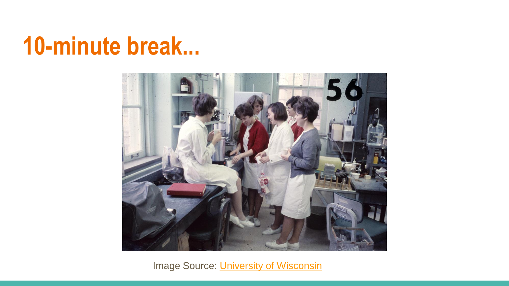#### **10-minute break...**



Image Source: [University of Wisconsin](https://digital.library.wisc.edu/1711.dl/RNOJ3AUMOORIW9A)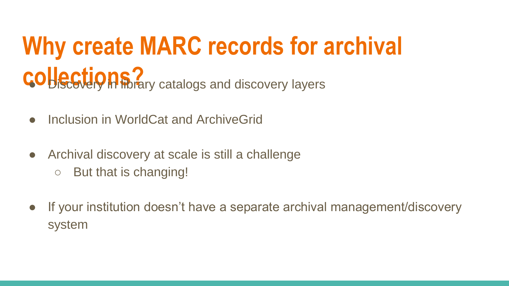## **Why create MARC records for archival collections? Collections**

- Inclusion in WorldCat and ArchiveGrid
- Archival discovery at scale is still a challenge
	- But that is changing!
- If your institution doesn't have a separate archival management/discovery system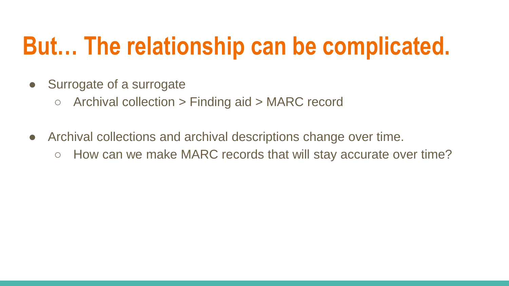#### **But… The relationship can be complicated.**

- Surrogate of a surrogate
	- $\circ$  Archival collection  $>$  Finding aid  $>$  MARC record
- Archival collections and archival descriptions change over time.
	- How can we make MARC records that will stay accurate over time?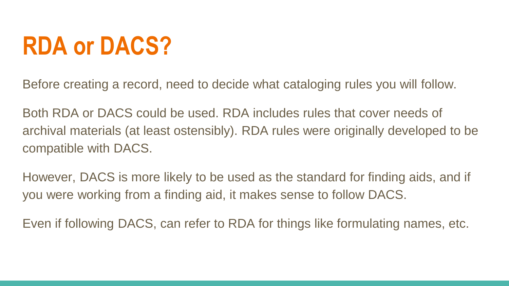#### **RDA or DACS?**

Before creating a record, need to decide what cataloging rules you will follow.

Both RDA or DACS could be used. RDA includes rules that cover needs of archival materials (at least ostensibly). RDA rules were originally developed to be compatible with DACS.

However, DACS is more likely to be used as the standard for finding aids, and if you were working from a finding aid, it makes sense to follow DACS.

Even if following DACS, can refer to RDA for things like formulating names, etc.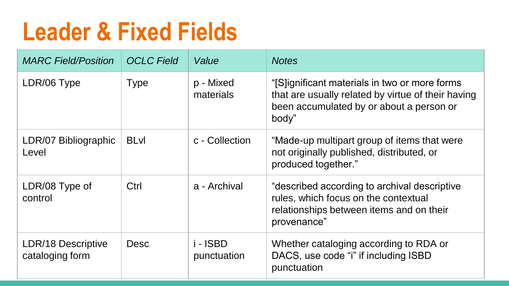#### **Leader & Fixed Fields**

| <b>MARC Field/Position</b>            | <b>OCLC</b> Field | Value                   | <b>Notes</b>                                                                                                                                             |
|---------------------------------------|-------------------|-------------------------|----------------------------------------------------------------------------------------------------------------------------------------------------------|
| LDR/06 Type                           | <b>Type</b>       | p - Mixed<br>materials  | "[S]ignificant materials in two or more forms<br>that are usually related by virtue of their having<br>been accumulated by or about a person or<br>body" |
| LDR/07 Bibliographic<br>Level         | <b>BLvI</b>       | c - Collection          | "Made-up multipart group of items that were<br>not originally published, distributed, or<br>produced together."                                          |
| LDR/08 Type of<br>control             | Ctrl              | a - Archival            | "described according to archival descriptive<br>rules, which focus on the contextual<br>relationships between items and on their<br>provenance"          |
| LDR/18 Descriptive<br>cataloging form | <b>Desc</b>       | i - ISBD<br>punctuation | Whether cataloging according to RDA or<br>DACS, use code "i" if including ISBD<br>punctuation                                                            |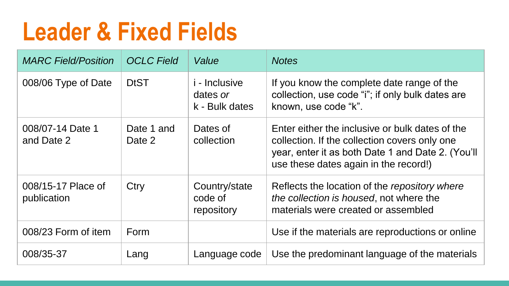#### **Leader & Fixed Fields**

| <b>MARC Field/Position</b>        | <b>OCLC</b> Field    | Value                                              | <b>Notes</b>                                                                                                                                                                                   |
|-----------------------------------|----------------------|----------------------------------------------------|------------------------------------------------------------------------------------------------------------------------------------------------------------------------------------------------|
| 008/06 Type of Date               | <b>DtST</b>          | <i>i</i> - Inclusive<br>dates or<br>k - Bulk dates | If you know the complete date range of the<br>collection, use code "i"; if only bulk dates are<br>known, use code "k".                                                                         |
| 008/07-14 Date 1<br>and Date 2    | Date 1 and<br>Date 2 | Dates of<br>collection                             | Enter either the inclusive or bulk dates of the<br>collection. If the collection covers only one<br>year, enter it as both Date 1 and Date 2. (You'll<br>use these dates again in the record!) |
| 008/15-17 Place of<br>publication | Ctry                 | Country/state<br>code of<br>repository             | Reflects the location of the repository where<br>the collection is housed, not where the<br>materials were created or assembled                                                                |
| 008/23 Form of item               | Form                 |                                                    | Use if the materials are reproductions or online                                                                                                                                               |
| 008/35-37                         | Lang                 | Language code                                      | Use the predominant language of the materials                                                                                                                                                  |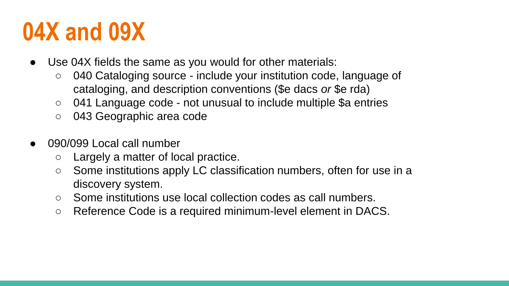#### **04X and 09X**

- Use 04X fields the same as you would for other materials:
	- 040 Cataloging source include your institution code, language of cataloging, and description conventions (\$e dacs *or* \$e rda)
	- 041 Language code not unusual to include multiple \$a entries
	- 043 Geographic area code
- 090/099 Local call number
	- Largely a matter of local practice.
	- Some institutions apply LC classification numbers, often for use in a discovery system.
	- Some institutions use local collection codes as call numbers.
	- Reference Code is a required minimum-level element in DACS.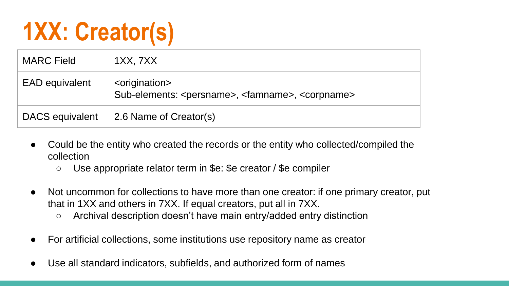#### **1XX: Creator(s)**

| <b>MARC Field</b>     | 1XX, 7XX                                                                                                        |
|-----------------------|-----------------------------------------------------------------------------------------------------------------|
| <b>EAD</b> equivalent | <origination><br/>Sub-elements: <persname>, <famname>, <corpname></corpname></famname></persname></origination> |
| DACS equivalent       | 2.6 Name of Creator(s)                                                                                          |

- Could be the entity who created the records or the entity who collected/compiled the collection
	- Use appropriate relator term in \$e: \$e creator / \$e compiler
- Not uncommon for collections to have more than one creator: if one primary creator, put that in 1XX and others in 7XX. If equal creators, put all in 7XX.
	- Archival description doesn't have main entry/added entry distinction
- For artificial collections, some institutions use repository name as creator
- Use all standard indicators, subfields, and authorized form of names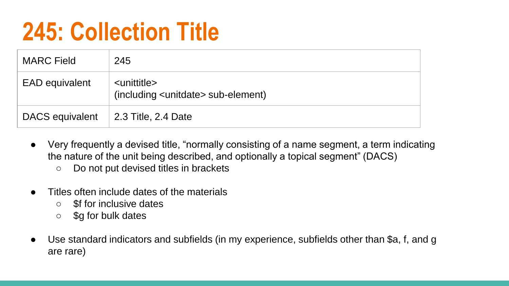#### **245: Collection Title**

| <b>MARC Field</b>     | 245                                                                       |
|-----------------------|---------------------------------------------------------------------------|
| <b>EAD</b> equivalent | <unittitle><br/>(including <unitdate> sub-element)</unitdate></unittitle> |
| DACS equivalent       | 2.3 Title, 2.4 Date                                                       |

- Very frequently a devised title, "normally consisting of a name segment, a term indicating the nature of the unit being described, and optionally a topical segment" (DACS)
	- Do not put devised titles in brackets
- Titles often include dates of the materials
	- \$f for inclusive dates
	- \$g for bulk dates
- Use standard indicators and subfields (in my experience, subfields other than \$a, f, and g are rare)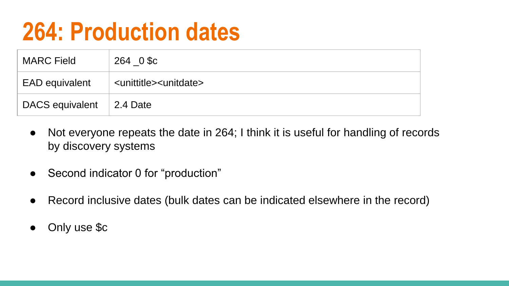#### **264: Production dates**

| <b>MARC Field</b>                | 264 0 \$c                                    |
|----------------------------------|----------------------------------------------|
| <b>EAD equivalent</b>            | <unittitle><unitdate></unitdate></unittitle> |
| DACS equivalent $\vert$ 2.4 Date |                                              |

- Not everyone repeats the date in 264; I think it is useful for handling of records by discovery systems
- Second indicator 0 for "production"
- Record inclusive dates (bulk dates can be indicated elsewhere in the record)
- Only use \$c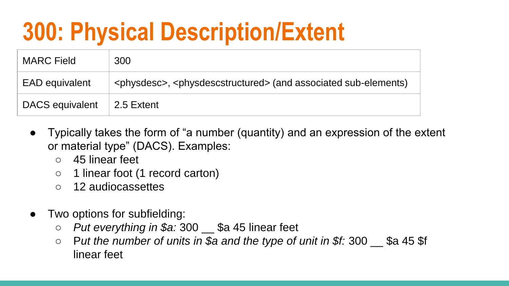#### **300: Physical Description/Extent**

| <b>MARC</b> Field     | 300                                                                                            |
|-----------------------|------------------------------------------------------------------------------------------------|
| <b>EAD</b> equivalent | <physdesc>, <physdescstructured> (and associated sub-elements)</physdescstructured></physdesc> |
| DACS equivalent       | ∣ 2.5 Extent                                                                                   |

- Typically takes the form of "a number (quantity) and an expression of the extent or material type" (DACS). Examples:
	- 45 linear feet
	- 1 linear foot (1 record carton)
	- 12 audiocassettes
- Two options for subfielding:
	- *Put everything in \$a:* 300 \_\_ \$a 45 linear feet
	- P*ut the number of units in \$a and the type of unit in \$f:* 300 \_\_ \$a 45 \$f linear feet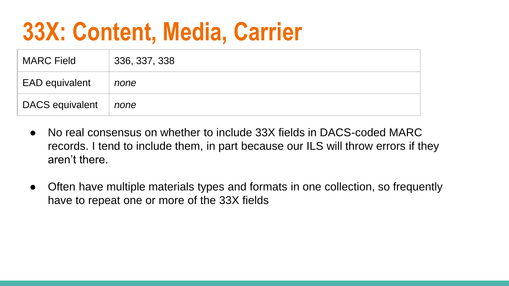#### **33X: Content, Media, Carrier**

| <b>MARC Field</b>     | 336, 337, 338 |
|-----------------------|---------------|
| <b>EAD</b> equivalent | none          |
| DACS equivalent       | none          |

- No real consensus on whether to include 33X fields in DACS-coded MARC records. I tend to include them, in part because our ILS will throw errors if they aren't there.
- Often have multiple materials types and formats in one collection, so frequently have to repeat one or more of the 33X fields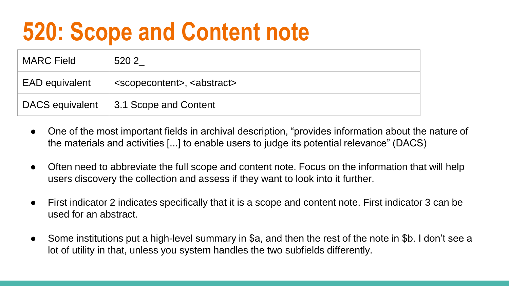#### **520: Scope and Content note**

| <b>MARC Field</b>     | 520 2                                                |
|-----------------------|------------------------------------------------------|
| <b>EAD equivalent</b> | <scopecontent>, <abstract></abstract></scopecontent> |
| DACS equivalent       | 3.1 Scope and Content                                |

- One of the most important fields in archival description, "provides information about the nature of the materials and activities [...] to enable users to judge its potential relevance" (DACS)
- Often need to abbreviate the full scope and content note. Focus on the information that will help users discovery the collection and assess if they want to look into it further.
- First indicator 2 indicates specifically that it is a scope and content note. First indicator 3 can be used for an abstract.
- Some institutions put a high-level summary in \$a, and then the rest of the note in \$b. I don't see a lot of utility in that, unless you system handles the two subfields differently.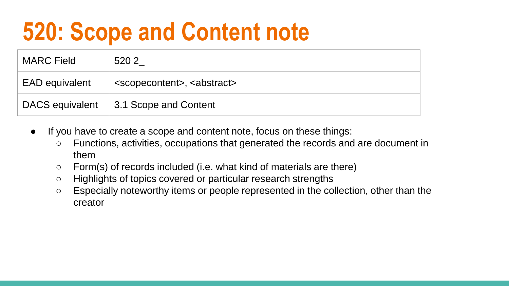#### **520: Scope and Content note**

| <b>MARC</b> Field     | 520 2                                                |
|-----------------------|------------------------------------------------------|
| <b>EAD equivalent</b> | <scopecontent>, <abstract></abstract></scopecontent> |
| DACS equivalent       | 3.1 Scope and Content                                |

- If you have to create a scope and content note, focus on these things:
	- Functions, activities, occupations that generated the records and are document in them
	- Form(s) of records included (i.e. what kind of materials are there)
	- Highlights of topics covered or particular research strengths
	- Especially noteworthy items or people represented in the collection, other than the creator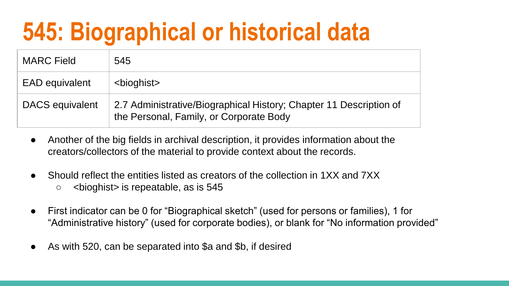#### **545: Biographical or historical data**

| <b>MARC Field</b>     | 545                                                                                                           |
|-----------------------|---------------------------------------------------------------------------------------------------------------|
| <b>EAD equivalent</b> | <bioghist></bioghist>                                                                                         |
| DACS equivalent       | 2.7 Administrative/Biographical History; Chapter 11 Description of<br>the Personal, Family, or Corporate Body |

- Another of the big fields in archival description, it provides information about the creators/collectors of the material to provide context about the records.
- Should reflect the entities listed as creators of the collection in 1XX and 7XX ○ <bioghist> is repeatable, as is 545
- First indicator can be 0 for "Biographical sketch" (used for persons or families), 1 for "Administrative history" (used for corporate bodies), or blank for "No information provided"
- As with 520, can be separated into \$a and \$b, if desired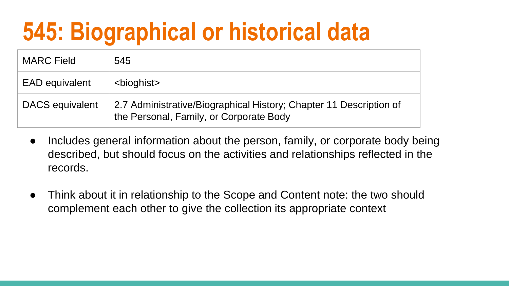#### **545: Biographical or historical data**

| <b>MARC Field</b>     | 545                                                                                                           |
|-----------------------|---------------------------------------------------------------------------------------------------------------|
| <b>EAD equivalent</b> | <bioghist></bioghist>                                                                                         |
| DACS equivalent       | 2.7 Administrative/Biographical History; Chapter 11 Description of<br>the Personal, Family, or Corporate Body |

- Includes general information about the person, family, or corporate body being described, but should focus on the activities and relationships reflected in the records.
- Think about it in relationship to the Scope and Content note: the two should complement each other to give the collection its appropriate context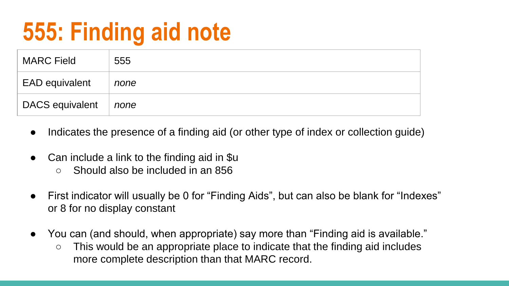#### **555: Finding aid note**

| <b>MARC Field</b>     | 555  |
|-----------------------|------|
| <b>EAD equivalent</b> | none |
| DACS equivalent       | none |

- Indicates the presence of a finding aid (or other type of index or collection quide)
- Can include a link to the finding aid in \$u
	- Should also be included in an 856
- First indicator will usually be 0 for "Finding Aids", but can also be blank for "Indexes" or 8 for no display constant
- You can (and should, when appropriate) say more than "Finding aid is available."
	- This would be an appropriate place to indicate that the finding aid includes more complete description than that MARC record.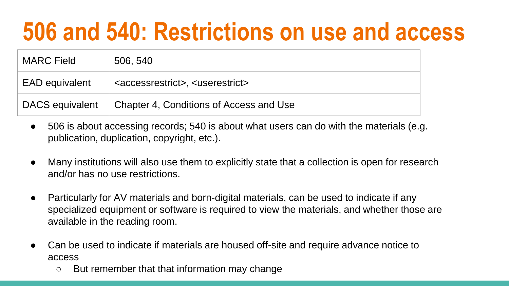#### **506 and 540: Restrictions on use and access**

| <b>MARC Field</b>     | 506, 540                                                       |
|-----------------------|----------------------------------------------------------------|
| <b>EAD equivalent</b> | <accessrestrict>, <userestrict></userestrict></accessrestrict> |
| DACS equivalent       | Chapter 4, Conditions of Access and Use                        |

- 506 is about accessing records; 540 is about what users can do with the materials (e.g. publication, duplication, copyright, etc.).
- Many institutions will also use them to explicitly state that a collection is open for research and/or has no use restrictions.
- Particularly for AV materials and born-digital materials, can be used to indicate if any specialized equipment or software is required to view the materials, and whether those are available in the reading room.
- Can be used to indicate if materials are housed off-site and require advance notice to access
	- But remember that that information may change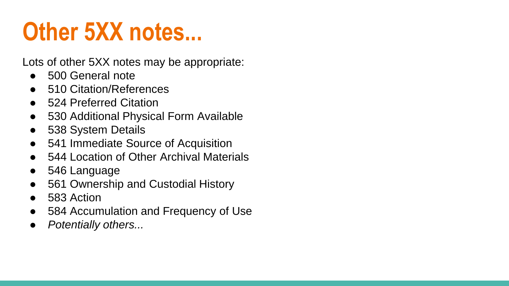#### **Other 5XX notes...**

Lots of other 5XX notes may be appropriate:

- 500 General note
- 510 Citation/References
- 524 Preferred Citation
- 530 Additional Physical Form Available
- 538 System Details
- 541 Immediate Source of Acquisition
- 544 Location of Other Archival Materials
- 546 Language
- 561 Ownership and Custodial History
- 583 Action
- 584 Accumulation and Frequency of Use
- **Potentially others...**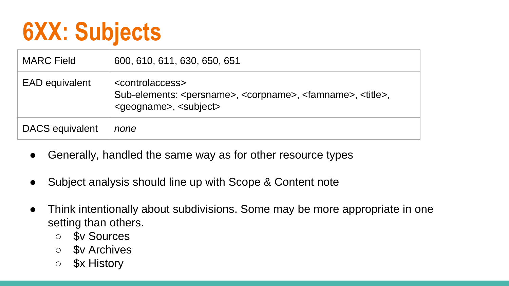#### **6XX: Subjects**

| <b>MARC</b> Field     | 600, 610, 611, 630, 650, 651                                                                                                                                                         |  |
|-----------------------|--------------------------------------------------------------------------------------------------------------------------------------------------------------------------------------|--|
| <b>EAD equivalent</b> | <controlaccess><br/>Sub-elements: <persname>, <corpname>, <famname>, <title>,<br/><geogname>, <subject></subject></geogname></title></famname></corpname></persname></controlaccess> |  |
| DACS equivalent       | none                                                                                                                                                                                 |  |

- Generally, handled the same way as for other resource types
- Subject analysis should line up with Scope & Content note
- Think intentionally about subdivisions. Some may be more appropriate in one setting than others.
	- \$v Sources
	- \$v Archives
	- \$x History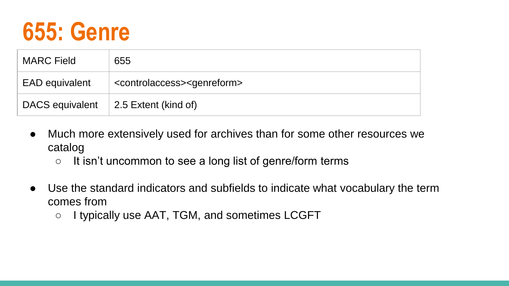

| <b>MARC Field</b>     | 655                                                    |  |  |  |
|-----------------------|--------------------------------------------------------|--|--|--|
| <b>EAD equivalent</b> | <controlaccess><genreform></genreform></controlaccess> |  |  |  |
| DACS equivalent       | 2.5 Extent (kind of)                                   |  |  |  |

- Much more extensively used for archives than for some other resources we catalog
	- It isn't uncommon to see a long list of genre/form terms
- Use the standard indicators and subfields to indicate what vocabulary the term comes from
	- I typically use AAT, TGM, and sometimes LCGFT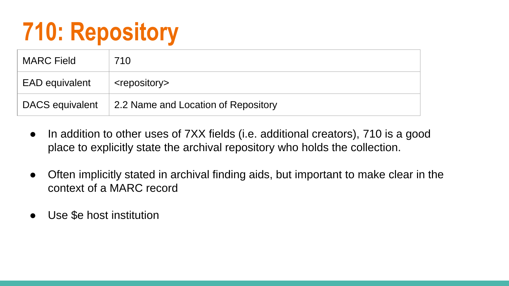#### **710: Repository**

| <b>MARC Field</b> | 710                                 |
|-------------------|-------------------------------------|
| EAD equivalent    | <repository></repository>           |
| DACS equivalent   | 2.2 Name and Location of Repository |

- In addition to other uses of 7XX fields (i.e. additional creators), 710 is a good place to explicitly state the archival repository who holds the collection.
- Often implicitly stated in archival finding aids, but important to make clear in the context of a MARC record
- Use \$e host institution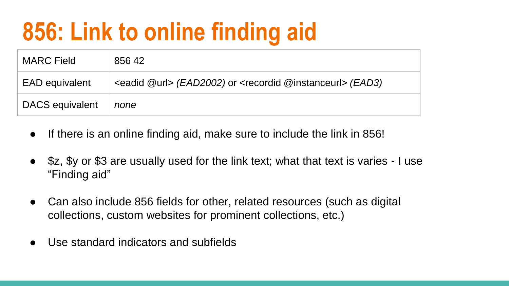#### **856: Link to online finding aid**

| <b>MARC Field</b>     | 856 42                                                                            |
|-----------------------|-----------------------------------------------------------------------------------|
| <b>EAD</b> equivalent | <eadid @url=""> (EAD2002) or <recordid @instanceurl=""> (EAD3)</recordid></eadid> |
| DACS equivalent       | none                                                                              |

- If there is an online finding aid, make sure to include the link in 856!
- \$z, \$y or \$3 are usually used for the link text; what that text is varies I use "Finding aid"
- Can also include 856 fields for other, related resources (such as digital collections, custom websites for prominent collections, etc.)
- Use standard indicators and subfields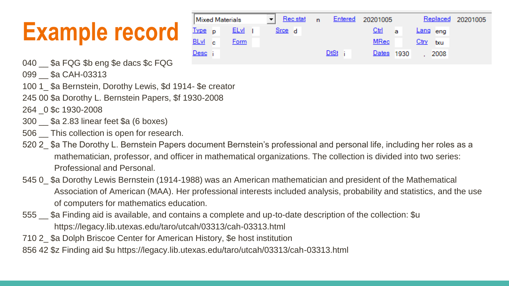#### **Example record**



- 040 \_\_ \$a FQG \$b eng \$e dacs \$c FQG
- 099 \$a CAH-03313
- 100 1 \$a Bernstein, Dorothy Lewis, \$d 1914- \$e creator
- 245 00 \$a Dorothy L. Bernstein Papers, \$f 1930-2008
- 264 \_0 \$c 1930-2008
- 300 \_\_ \$a 2.83 linear feet \$a (6 boxes)
- 506 This collection is open for research.
- 520 2 \$a The Dorothy L. Bernstein Papers document Bernstein's professional and personal life, including her roles as a mathematician, professor, and officer in mathematical organizations. The collection is divided into two series: Professional and Personal.
- 545 0\_ \$a Dorothy Lewis Bernstein (1914-1988) was an American mathematician and president of the Mathematical Association of American (MAA). Her professional interests included analysis, probability and statistics, and the use of computers for mathematics education.
- 555 \_\_ \$a Finding aid is available, and contains a complete and up-to-date description of the collection: \$u https://legacy.lib.utexas.edu/taro/utcah/03313/cah-03313.html
- 710 2\_ \$a Dolph Briscoe Center for American History, \$e host institution
- 856 42 \$z Finding aid \$u https://legacy.lib.utexas.edu/taro/utcah/03313/cah-03313.html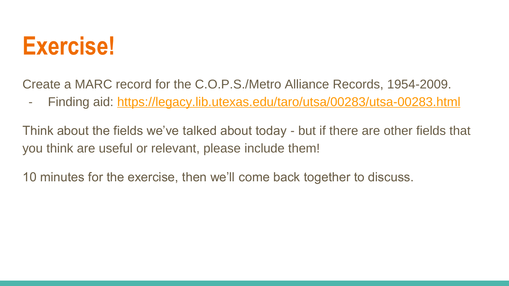#### **Exercise!**

Create a MARC record for the C.O.P.S./Metro Alliance Records, 1954-2009.

- Finding aid: <https://legacy.lib.utexas.edu/taro/utsa/00283/utsa-00283.html>

Think about the fields we've talked about today - but if there are other fields that you think are useful or relevant, please include them!

10 minutes for the exercise, then we'll come back together to discuss.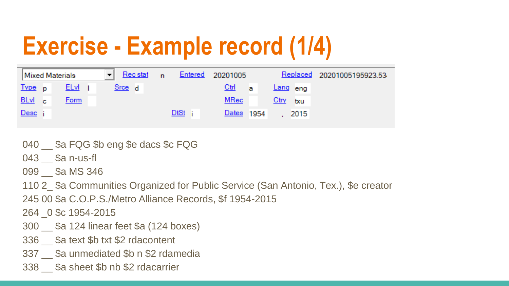#### **Exercise - Example record (1/4)**

| <b>Mixed Materials</b> |  |             | Rec stat<br>▾╎ | $\cdot$ n |  | Entered 20201005 |                        | Replaced 20201005195923.53 |  |
|------------------------|--|-------------|----------------|-----------|--|------------------|------------------------|----------------------------|--|
| Type p                 |  | <b>ELvi</b> |                | Srce d    |  |                  | $\mathbf{Ctrl}$<br>- a | Lang eng                   |  |
| BLvl c                 |  | Form        |                |           |  |                  | MRec                   | $Ctry$ txu                 |  |
| <u>Desc</u>            |  |             |                |           |  | <u>DtSt</u>      | Dates 1954             | 2015                       |  |

- 040  $\,$  \$a FQG \$b eng \$e dacs \$c FQG
- $043$   $$a$  n-us-fl
- 099 \$a MS 346
- 110 2\_ \$a Communities Organized for Public Service (San Antonio, Tex.), \$e creator
- 245 00 \$a C.O.P.S./Metro Alliance Records, \$f 1954-2015
- 264 \_0 \$c 1954-2015
- 300 \_\_ \$a 124 linear feet \$a (124 boxes)
- 336 \_\_ \$a text \$b txt \$2 rdacontent
- 337 Sa unmediated \$b n \$2 rdamedia
- 338 \$a sheet \$b nb \$2 rdacarrier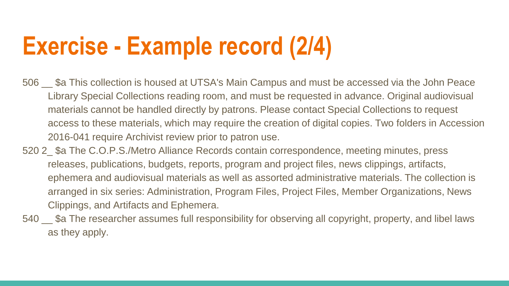#### **Exercise - Example record (2/4)**

- 506 Sa This collection is housed at UTSA's Main Campus and must be accessed via the John Peace Library Special Collections reading room, and must be requested in advance. Original audiovisual materials cannot be handled directly by patrons. Please contact Special Collections to request access to these materials, which may require the creation of digital copies. Two folders in Accession 2016-041 require Archivist review prior to patron use.
- 520 2 \$a The C.O.P.S./Metro Alliance Records contain correspondence, meeting minutes, press releases, publications, budgets, reports, program and project files, news clippings, artifacts, ephemera and audiovisual materials as well as assorted administrative materials. The collection is arranged in six series: Administration, Program Files, Project Files, Member Organizations, News Clippings, and Artifacts and Ephemera.
- 540 <sub>\_\_</sub> \$a The researcher assumes full responsibility for observing all copyright, property, and libel laws as they apply.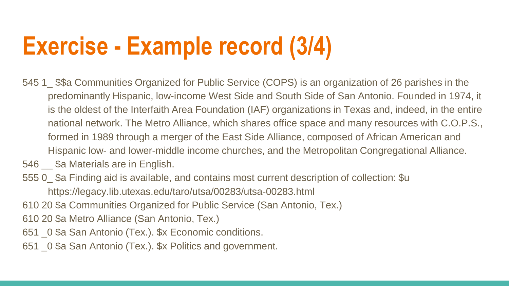#### **Exercise - Example record (3/4)**

- 545 1  $$$ \$a Communities Organized for Public Service (COPS) is an organization of 26 parishes in the predominantly Hispanic, low-income West Side and South Side of San Antonio. Founded in 1974, it is the oldest of the Interfaith Area Foundation (IAF) organizations in Texas and, indeed, in the entire national network. The Metro Alliance, which shares office space and many resources with C.O.P.S., formed in 1989 through a merger of the East Side Alliance, composed of African American and Hispanic low- and lower-middle income churches, and the Metropolitan Congregational Alliance.
- 546 \_\_ \$a Materials are in English.
- 555 0\_ \$a Finding aid is available, and contains most current description of collection: \$u https://legacy.lib.utexas.edu/taro/utsa/00283/utsa-00283.html
- 610 20 \$a Communities Organized for Public Service (San Antonio, Tex.)
- 610 20 \$a Metro Alliance (San Antonio, Tex.)
- 651 \_0 \$a San Antonio (Tex.). \$x Economic conditions.
- 651 \_0 \$a San Antonio (Tex.). \$x Politics and government.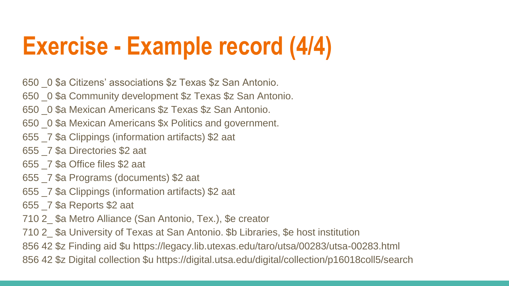#### **Exercise - Example record (4/4)**

650 \_0 \$a Citizens' associations \$z Texas \$z San Antonio.

650 \_0 \$a Community development \$z Texas \$z San Antonio.

- 650 \_0 \$a Mexican Americans \$z Texas \$z San Antonio.
- 650 \_0 \$a Mexican Americans \$x Politics and government.
- 655 \_7 \$a Clippings (information artifacts) \$2 aat
- 655 \_7 \$a Directories \$2 aat
- 655 \_7 \$a Office files \$2 aat
- 655 \_7 \$a Programs (documents) \$2 aat
- 655 \_7 \$a Clippings (information artifacts) \$2 aat

655 \_7 \$a Reports \$2 aat

710 2\_ \$a Metro Alliance (San Antonio, Tex.), \$e creator

710 2\_ \$a University of Texas at San Antonio. \$b Libraries, \$e host institution

856 42 \$z Finding aid \$u https://legacy.lib.utexas.edu/taro/utsa/00283/utsa-00283.html

856 42 \$z Digital collection \$u https://digital.utsa.edu/digital/collection/p16018coll5/search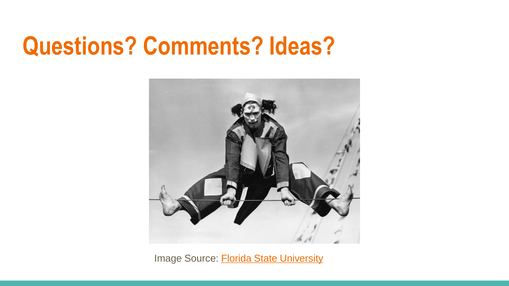#### **Questions? Comments? Ideas?**



Image Source: [Florida State University](https://ssdn.dp.la/item/9873102f3d51c174765f2e509cfa003d)